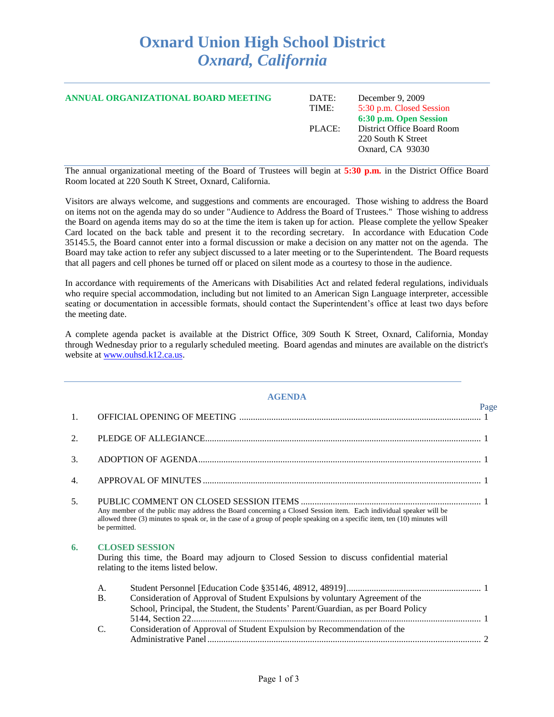## **Oxnard Union High School District** *Oxnard, California*

| ANNUAL ORGANIZATIONAL BOARD MEETING | DATE:<br>TIME: | December 9, 2009<br>5:30 p.m. Closed Session<br>6:30 p.m. Open Session |
|-------------------------------------|----------------|------------------------------------------------------------------------|
|                                     | PLACE:         | District Office Board Room<br>220 South K Street<br>Oxnard, CA 93030   |

The annual organizational meeting of the Board of Trustees will begin at **5:30 p.m.** in the District Office Board Room located at 220 South K Street, Oxnard, California.

Visitors are always welcome, and suggestions and comments are encouraged. Those wishing to address the Board on items not on the agenda may do so under "Audience to Address the Board of Trustees." Those wishing to address the Board on agenda items may do so at the time the item is taken up for action. Please complete the yellow Speaker Card located on the back table and present it to the recording secretary. In accordance with Education Code 35145.5, the Board cannot enter into a formal discussion or make a decision on any matter not on the agenda. The Board may take action to refer any subject discussed to a later meeting or to the Superintendent. The Board requests that all pagers and cell phones be turned off or placed on silent mode as a courtesy to those in the audience.

In accordance with requirements of the Americans with Disabilities Act and related federal regulations, individuals who require special accommodation, including but not limited to an American Sign Language interpreter, accessible seating or documentation in accessible formats, should contact the Superintendent's office at least two days before the meeting date.

A complete agenda packet is available at the District Office, 309 South K Street, Oxnard, California, Monday through Wednesday prior to a regularly scheduled meeting. Board agendas and minutes are available on the district's website at [www.ouhsd.k12.ca.us.](http://www.ouhsd.k12.ca.us/)

|    | <b>AGENDA</b>   |                                                                                                                                                                                                                                                |      |  |
|----|-----------------|------------------------------------------------------------------------------------------------------------------------------------------------------------------------------------------------------------------------------------------------|------|--|
| 1. |                 |                                                                                                                                                                                                                                                | Page |  |
| 2. |                 |                                                                                                                                                                                                                                                |      |  |
| 3. |                 |                                                                                                                                                                                                                                                |      |  |
| 4. |                 |                                                                                                                                                                                                                                                |      |  |
| 5. | be permitted.   | Any member of the public may address the Board concerning a Closed Session item. Each individual speaker will be<br>allowed three (3) minutes to speak or, in the case of a group of people speaking on a specific item, ten (10) minutes will |      |  |
| 6. |                 | <b>CLOSED SESSION</b><br>During this time, the Board may adjourn to Closed Session to discuss confidential material<br>relating to the items listed below.                                                                                     |      |  |
|    | A.<br><b>B.</b> | Consideration of Approval of Student Expulsions by voluntary Agreement of the<br>School, Principal, the Student, the Students' Parent/Guardian, as per Board Policy                                                                            |      |  |
|    | C.              | Consideration of Approval of Student Expulsion by Recommendation of the                                                                                                                                                                        |      |  |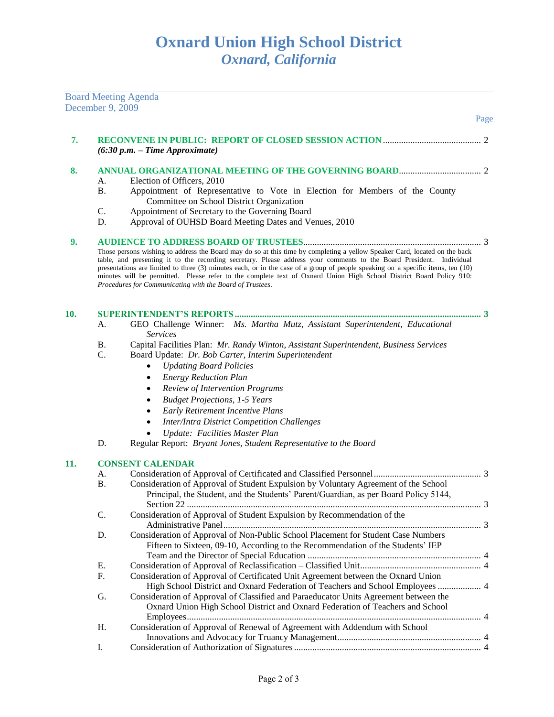|     | December 9, 2009 | <b>Board Meeting Agenda</b>                                                                                                                                                                                                                                                                                                                                                                                                                                                                                                                                              |
|-----|------------------|--------------------------------------------------------------------------------------------------------------------------------------------------------------------------------------------------------------------------------------------------------------------------------------------------------------------------------------------------------------------------------------------------------------------------------------------------------------------------------------------------------------------------------------------------------------------------|
|     |                  | Page                                                                                                                                                                                                                                                                                                                                                                                                                                                                                                                                                                     |
| 7.  |                  | $(6:30 p.m. - Time Approximate)$                                                                                                                                                                                                                                                                                                                                                                                                                                                                                                                                         |
| 8.  | А.               | Election of Officers, 2010                                                                                                                                                                                                                                                                                                                                                                                                                                                                                                                                               |
|     | <b>B.</b>        | Appointment of Representative to Vote in Election for Members of the County<br>Committee on School District Organization                                                                                                                                                                                                                                                                                                                                                                                                                                                 |
|     | C.<br>D.         | Appointment of Secretary to the Governing Board<br>Approval of OUHSD Board Meeting Dates and Venues, 2010                                                                                                                                                                                                                                                                                                                                                                                                                                                                |
| 9.  |                  |                                                                                                                                                                                                                                                                                                                                                                                                                                                                                                                                                                          |
|     |                  | Those persons wishing to address the Board may do so at this time by completing a yellow Speaker Card, located on the back<br>table, and presenting it to the recording secretary. Please address your comments to the Board President. Individual<br>presentations are limited to three (3) minutes each, or in the case of a group of people speaking on a specific items, ten (10)<br>minutes will be permitted. Please refer to the complete text of Oxnard Union High School District Board Policy 910:<br>Procedures for Communicating with the Board of Trustees. |
| 10. |                  | 3                                                                                                                                                                                                                                                                                                                                                                                                                                                                                                                                                                        |
|     | А.               | GEO Challenge Winner: Ms. Martha Mutz, Assistant Superintendent, Educational                                                                                                                                                                                                                                                                                                                                                                                                                                                                                             |
|     |                  | <i>Services</i>                                                                                                                                                                                                                                                                                                                                                                                                                                                                                                                                                          |
|     | Β.               | Capital Facilities Plan: Mr. Randy Winton, Assistant Superintendent, Business Services                                                                                                                                                                                                                                                                                                                                                                                                                                                                                   |
|     | C.               | Board Update: Dr. Bob Carter, Interim Superintendent                                                                                                                                                                                                                                                                                                                                                                                                                                                                                                                     |
|     |                  | <b>Updating Board Policies</b>                                                                                                                                                                                                                                                                                                                                                                                                                                                                                                                                           |
|     |                  | <b>Energy Reduction Plan</b>                                                                                                                                                                                                                                                                                                                                                                                                                                                                                                                                             |
|     |                  | Review of Intervention Programs                                                                                                                                                                                                                                                                                                                                                                                                                                                                                                                                          |
|     |                  | <b>Budget Projections, 1-5 Years</b>                                                                                                                                                                                                                                                                                                                                                                                                                                                                                                                                     |
|     |                  | Early Retirement Incentive Plans                                                                                                                                                                                                                                                                                                                                                                                                                                                                                                                                         |
|     |                  | <b>Inter/Intra District Competition Challenges</b>                                                                                                                                                                                                                                                                                                                                                                                                                                                                                                                       |
|     |                  | Update: Facilities Master Plan                                                                                                                                                                                                                                                                                                                                                                                                                                                                                                                                           |
|     | D.               | Regular Report: Bryant Jones, Student Representative to the Board                                                                                                                                                                                                                                                                                                                                                                                                                                                                                                        |
| 11. |                  | <b>CONSENT CALENDAR</b>                                                                                                                                                                                                                                                                                                                                                                                                                                                                                                                                                  |
|     | A.               |                                                                                                                                                                                                                                                                                                                                                                                                                                                                                                                                                                          |
|     | <b>B.</b>        | Consideration of Approval of Student Expulsion by Voluntary Agreement of the School                                                                                                                                                                                                                                                                                                                                                                                                                                                                                      |
|     |                  | Principal, the Student, and the Students' Parent/Guardian, as per Board Policy 5144,                                                                                                                                                                                                                                                                                                                                                                                                                                                                                     |
|     |                  |                                                                                                                                                                                                                                                                                                                                                                                                                                                                                                                                                                          |
|     | C.               | Consideration of Approval of Student Expulsion by Recommendation of the                                                                                                                                                                                                                                                                                                                                                                                                                                                                                                  |
|     |                  | Consideration of Approval of Non-Public School Placement for Student Case Numbers                                                                                                                                                                                                                                                                                                                                                                                                                                                                                        |
|     | D.               | Fifteen to Sixteen, 09-10, According to the Recommendation of the Students' IEP                                                                                                                                                                                                                                                                                                                                                                                                                                                                                          |
|     |                  |                                                                                                                                                                                                                                                                                                                                                                                                                                                                                                                                                                          |
|     | Ε.               |                                                                                                                                                                                                                                                                                                                                                                                                                                                                                                                                                                          |
|     | F.               | Consideration of Approval of Certificated Unit Agreement between the Oxnard Union                                                                                                                                                                                                                                                                                                                                                                                                                                                                                        |
|     |                  | High School District and Oxnard Federation of Teachers and School Employees  4                                                                                                                                                                                                                                                                                                                                                                                                                                                                                           |
|     | G.               | Consideration of Approval of Classified and Paraeducator Units Agreement between the<br>Oxnard Union High School District and Oxnard Federation of Teachers and School                                                                                                                                                                                                                                                                                                                                                                                                   |
|     |                  |                                                                                                                                                                                                                                                                                                                                                                                                                                                                                                                                                                          |
|     | Η.               | Consideration of Approval of Renewal of Agreement with Addendum with School                                                                                                                                                                                                                                                                                                                                                                                                                                                                                              |
|     |                  |                                                                                                                                                                                                                                                                                                                                                                                                                                                                                                                                                                          |
|     | I.               |                                                                                                                                                                                                                                                                                                                                                                                                                                                                                                                                                                          |